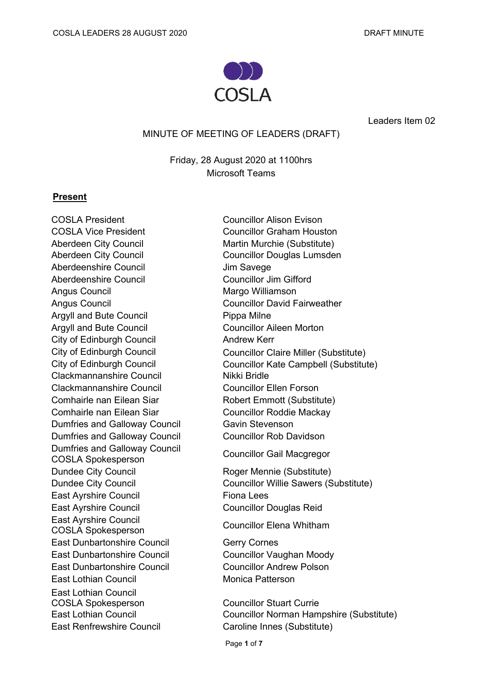

Leaders Item 02

### MINUTE OF MEETING OF LEADERS (DRAFT)

Friday, 28 August 2020 at 1100hrs Microsoft Teams

### **Present**

COSLA President Councillor Alison Evison COSLA Vice President Councillor Graham Houston Aberdeen City Council **Martin Murchie (Substitute)** Aberdeenshire Council **Aberdeenshire** Council **Jim Savege** Aberdeenshire Council **Councillor Councillor Jim Gifford** Angus Council **Margo Williamson** Argyll and Bute Council **Pippa Milne** Argyll and Bute Council **Council** Councillor Aileen Morton City of Edinburgh Council **Andrew Kerr** Clackmannanshire Council Nikki Bridle Clackmannanshire Council Councillor Ellen Forson Comhairle nan Eilean Siar **Robert Emmott (Substitute)** Comhairle nan Eilean Siar **Councillor Roddie Mackay** Dumfries and Galloway Council **Gavin Stevenson** Dumfries and Galloway Council Councillor Rob Davidson Dumfries and Galloway Council COSLA Spokesperson Councillor Gail Macgregor Dundee City Council **Example 20 Roger Mennie (Substitute)** East Ayrshire Council Fiona Lees East Ayrshire Council **Councillor Douglas Reid** East Ayrshire Council COSLA Spokesperson Councillor Elena Whitham East Dunbartonshire Council **Gerry Cornes** East Dunbartonshire Council Councillor Vaughan Moody East Dunbartonshire Council Councillor Andrew Polson **East Lothian Council Council Monica Patterson** East Lothian Council COSLA Spokesperson Councillor Stuart Currie East Renfrewshire Council **Caroline Innes (Substitute)** 

Aberdeen City Council **Councillor Douglas Lumsden** Angus Council **Councillor David Fairweather** City of Edinburgh Council Councillor Claire Miller (Substitute) City of Edinburgh Council Council Councillor Kate Campbell (Substitute)

Dundee City Council Councillor Willie Sawers (Substitute)

East Lothian Council Councillor Norman Hampshire (Substitute)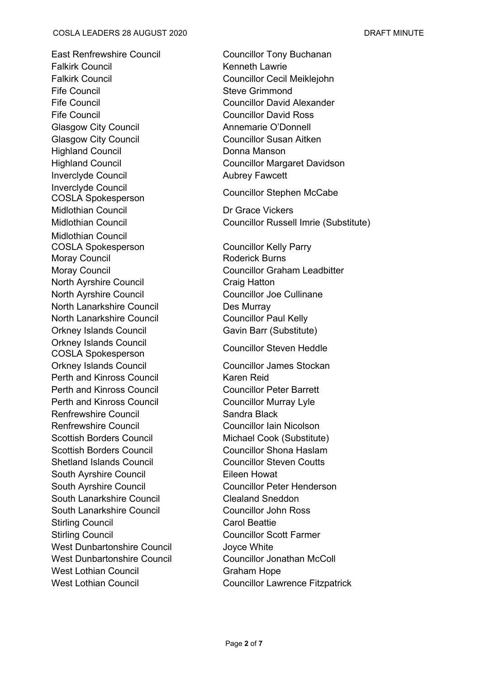#### COSLA LEADERS 28 AUGUST 2020 DRAFT MINUTE

East Renfrewshire Council **East Renfrewshire Council** Councillor Tony Buchanan Falkirk Council **Example 20** Kenneth Lawrie Falkirk Council Councillor Cecil Meiklejohn Fife Council **Steve Grimmond** Fife Council Councillor David Alexander Fife Council **Councillor** David Ross Glasgow City Council **Annemarie O'Donnell** Glasgow City Council **Councillor** Councillor Susan Aitken Highland Council **Exercise Servers** Donna Manson Inverclyde Council **Aubrey Fawcett** Inverclyde Council mverciyde Council<br>COSLA Spokesperson Councillor Stephen McCabe Midlothian Council **Dr Grace Vickers** Midlothian Council COSLA Spokesperson Councillor Kelly Parry Moray Council **Moray Council** Roderick Burns North Ayrshire Council Craig Hatton North Ayrshire Council Councillor Joe Cullinane North Lanarkshire Council Des Murray North Lanarkshire Council **Council Councillor Paul Kelly** Orkney Islands Council Gavin Barr (Substitute) Orkney Islands Council COSLA Spokesperson Councillor Steven Heddle Orkney Islands Council Councillor James Stockan Perth and Kinross Council **Karen Reid** Karen Reid Perth and Kinross Council **Councillor Peter Barrett** Perth and Kinross Council **Councillor Murray Lyle** Renfrewshire Council **Sandra Black** Renfrewshire Council **Councillor Councillor Iain Nicolson** Scottish Borders Council **Michael Cook (Substitute)** Scottish Borders Council Councillor Shona Haslam Shetland Islands Council **Councillor Steven Coutts** South Ayrshire Council **Eileen Howat** South Ayrshire Council **Council** Councillor Peter Henderson South Lanarkshire Council **Clealand Sneddon** South Lanarkshire Council **Councillor Councillor John Ross** Stirling Council Carol Beattie Stirling Council Councillor Scott Farmer West Dunbartonshire Council **State State State** Joyce White West Dunbartonshire Council **Councillor Jonathan McColl** West Lothian Council **Graham Hope** 

Highland Council Councillor Margaret Davidson

Midlothian Council Councillor Russell Imrie (Substitute)

Moray Council **Councillor Graham Leadbitter** 

West Lothian Council **Councillor Lawrence Fitzpatrick**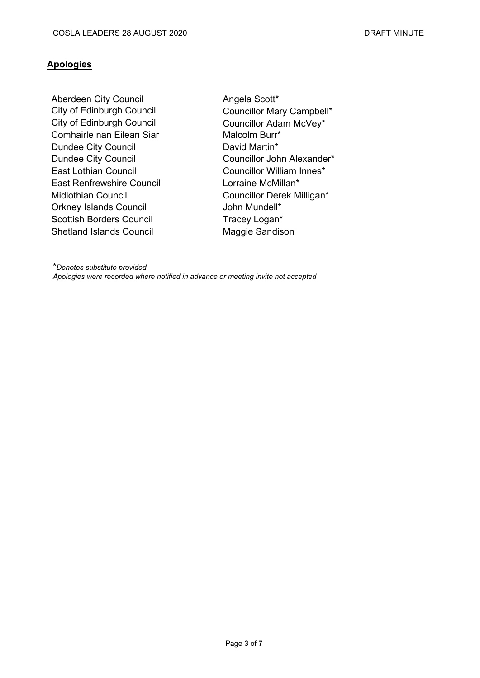# **Apologies**

Aberdeen City Council **Angela Scott**\* City of Edinburgh Council Councillor Mary Campbell\* City of Edinburgh Council Councillor Adam McVey\* Comhairle nan Eilean Siar **Malcolm Burr**\* Dundee City Council **David Martin\*** East Lothian Council **Councillor William Innes\*** East Renfrewshire Council **Lorraine McMillan\*** Midlothian Council Council Councillor Derek Milligan\* Orkney Islands Council **Council** John Mundell\* Scottish Borders Council Tracey Logan\* Shetland Islands Council Maggie Sandison

Dundee City Council Councillor John Alexander\*

\**Denotes substitute provided Apologies were recorded where notified in advance or meeting invite not accepted*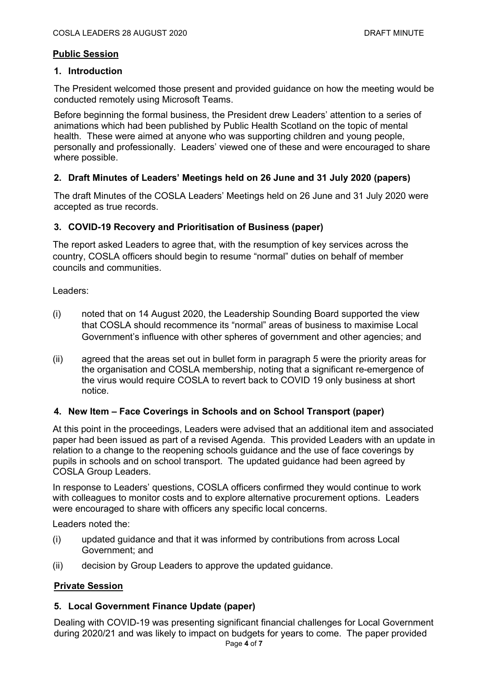# **Public Session**

### **1. Introduction**

The President welcomed those present and provided guidance on how the meeting would be conducted remotely using Microsoft Teams.

Before beginning the formal business, the President drew Leaders' attention to a series of animations which had been published by Public Health Scotland on the topic of mental health. These were aimed at anyone who was supporting children and young people, personally and professionally. Leaders' viewed one of these and were encouraged to share where possible.

# **2. Draft Minutes of Leaders' Meetings held on 26 June and 31 July 2020 (papers)**

The draft Minutes of the COSLA Leaders' Meetings held on 26 June and 31 July 2020 were accepted as true records.

# **3. COVID-19 Recovery and Prioritisation of Business (paper)**

The report asked Leaders to agree that, with the resumption of key services across the country, COSLA officers should begin to resume "normal" duties on behalf of member councils and communities.

Leaders:

- (i) noted that on 14 August 2020, the Leadership Sounding Board supported the view that COSLA should recommence its "normal" areas of business to maximise Local Government's influence with other spheres of government and other agencies; and
- (ii) agreed that the areas set out in bullet form in paragraph 5 were the priority areas for the organisation and COSLA membership, noting that a significant re-emergence of the virus would require COSLA to revert back to COVID 19 only business at short notice.

# **4. New Item – Face Coverings in Schools and on School Transport (paper)**

At this point in the proceedings, Leaders were advised that an additional item and associated paper had been issued as part of a revised Agenda. This provided Leaders with an update in relation to a change to the reopening schools guidance and the use of face coverings by pupils in schools and on school transport. The updated guidance had been agreed by COSLA Group Leaders.

In response to Leaders' questions, COSLA officers confirmed they would continue to work with colleagues to monitor costs and to explore alternative procurement options. Leaders were encouraged to share with officers any specific local concerns.

Leaders noted the:

- (i) updated guidance and that it was informed by contributions from across Local Government; and
- (ii) decision by Group Leaders to approve the updated guidance.

# **Private Session**

# **5. Local Government Finance Update (paper)**

Dealing with COVID-19 was presenting significant financial challenges for Local Government during 2020/21 and was likely to impact on budgets for years to come. The paper provided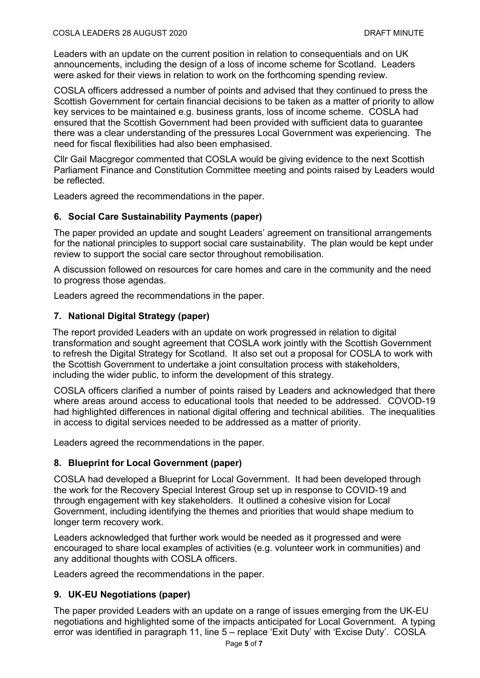Leaders with an update on the current position in relation to consequentials and on UK announcements, including the design of a loss of income scheme for Scotland. Leaders were asked for their views in relation to work on the forthcoming spending review.

COSLA officers addressed a number of points and advised that they continued to press the Scottish Government for certain financial decisions to be taken as a matter of priority to allow key services to be maintained e.g. business grants, loss of income scheme. COSLA had ensured that the Scottish Government had been provided with sufficient data to guarantee there was a clear understanding of the pressures Local Government was experiencing. The need for fiscal flexibilities had also been emphasised.

Cllr Gail Macgregor commented that COSLA would be giving evidence to the next Scottish Parliament Finance and Constitution Committee meeting and points raised by Leaders would be reflected.

Leaders agreed the recommendations in the paper.

# **6. Social Care Sustainability Payments (paper)**

The paper provided an update and sought Leaders' agreement on transitional arrangements for the national principles to support social care sustainability. The plan would be kept under review to support the social care sector throughout remobilisation.

A discussion followed on resources for care homes and care in the community and the need to progress those agendas.

Leaders agreed the recommendations in the paper.

# **7. National Digital Strategy (paper)**

The report provided Leaders with an update on work progressed in relation to digital transformation and sought agreement that COSLA work jointly with the Scottish Government to refresh the Digital Strategy for Scotland. It also set out a proposal for COSLA to work with the Scottish Government to undertake a joint consultation process with stakeholders, including the wider public, to inform the development of this strategy.

COSLA officers clarified a number of points raised by Leaders and acknowledged that there where areas around access to educational tools that needed to be addressed. COVOD-19 had highlighted differences in national digital offering and technical abilities. The inequalities in access to digital services needed to be addressed as a matter of priority.

Leaders agreed the recommendations in the paper.

### **8. Blueprint for Local Government (paper)**

COSLA had developed a Blueprint for Local Government. It had been developed through the work for the Recovery Special Interest Group set up in response to COVID-19 and through engagement with key stakeholders. It outlined a cohesive vision for Local Government, including identifying the themes and priorities that would shape medium to longer term recovery work.

Leaders acknowledged that further work would be needed as it progressed and were encouraged to share local examples of activities (e.g. volunteer work in communities) and any additional thoughts with COSLA officers.

Leaders agreed the recommendations in the paper.

### **9. UK-EU Negotiations (paper)**

The paper provided Leaders with an update on a range of issues emerging from the UK-EU negotiations and highlighted some of the impacts anticipated for Local Government. A typing error was identified in paragraph 11, line 5 – replace 'Exit Duty' with 'Excise Duty'. COSLA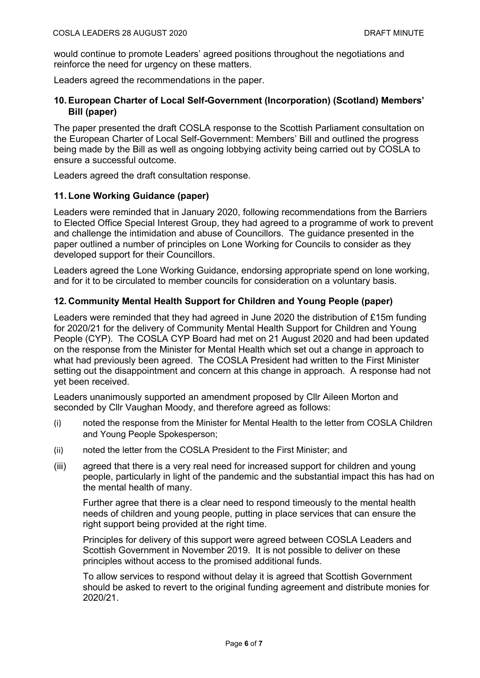would continue to promote Leaders' agreed positions throughout the negotiations and reinforce the need for urgency on these matters.

Leaders agreed the recommendations in the paper.

# **10. European Charter of Local Self-Government (Incorporation) (Scotland) Members' Bill (paper)**

The paper presented the draft COSLA response to the Scottish Parliament consultation on the European Charter of Local Self-Government: Members' Bill and outlined the progress being made by the Bill as well as ongoing lobbying activity being carried out by COSLA to ensure a successful outcome.

Leaders agreed the draft consultation response.

### **11. Lone Working Guidance (paper)**

Leaders were reminded that in January 2020, following recommendations from the Barriers to Elected Office Special Interest Group, they had agreed to a programme of work to prevent and challenge the intimidation and abuse of Councillors. The guidance presented in the paper outlined a number of principles on Lone Working for Councils to consider as they developed support for their Councillors.

Leaders agreed the Lone Working Guidance, endorsing appropriate spend on lone working, and for it to be circulated to member councils for consideration on a voluntary basis.

### **12. Community Mental Health Support for Children and Young People (paper)**

Leaders were reminded that they had agreed in June 2020 the distribution of £15m funding for 2020/21 for the delivery of Community Mental Health Support for Children and Young People (CYP). The COSLA CYP Board had met on 21 August 2020 and had been updated on the response from the Minister for Mental Health which set out a change in approach to what had previously been agreed. The COSLA President had written to the First Minister setting out the disappointment and concern at this change in approach. A response had not yet been received.

Leaders unanimously supported an amendment proposed by Cllr Aileen Morton and seconded by Cllr Vaughan Moody, and therefore agreed as follows:

- (i) noted the response from the Minister for Mental Health to the letter from COSLA Children and Young People Spokesperson;
- (ii) noted the letter from the COSLA President to the First Minister; and
- (iii) agreed that there is a very real need for increased support for children and young people, particularly in light of the pandemic and the substantial impact this has had on the mental health of many.

Further agree that there is a clear need to respond timeously to the mental health needs of children and young people, putting in place services that can ensure the right support being provided at the right time.

Principles for delivery of this support were agreed between COSLA Leaders and Scottish Government in November 2019. It is not possible to deliver on these principles without access to the promised additional funds.

To allow services to respond without delay it is agreed that Scottish Government should be asked to revert to the original funding agreement and distribute monies for 2020/21.